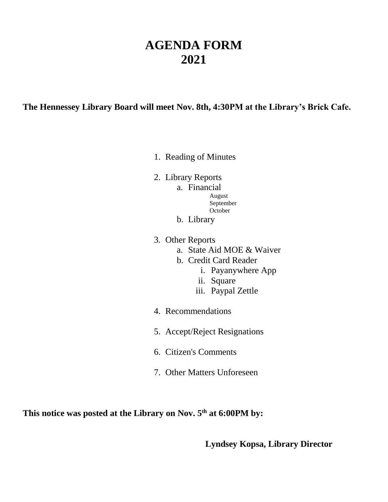# **AGENDA FORM 2021**

**The Hennessey Library Board will meet Nov. 8th, 4:30PM at the Library's Brick Cafe.**

- 1. Reading of Minutes
- 2. Library Reports
	- a. Financial
		- August September **October**
	- b. Library
- 3. Other Reports
	- a. State Aid MOE & Waiver
	- b. Credit Card Reader
		- i. Payanywhere App
		- ii. Square
		- iii. Paypal Zettle
- 4. Recommendations
- 5. Accept/Reject Resignations
- 6. Citizen's Comments
- 7. Other Matters Unforeseen

**This notice was posted at the Library on Nov. 5th at 6:00PM by:**

**Lyndsey Kopsa, Library Director**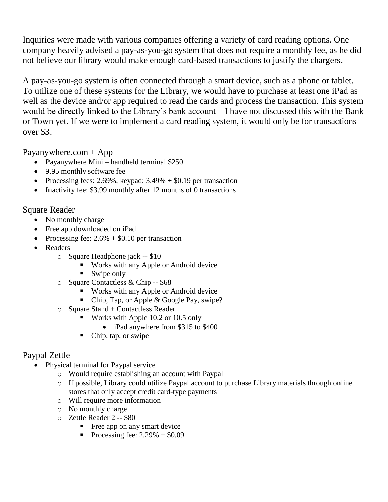Inquiries were made with various companies offering a variety of card reading options. One company heavily advised a pay-as-you-go system that does not require a monthly fee, as he did not believe our library would make enough card-based transactions to justify the chargers.

A pay-as-you-go system is often connected through a smart device, such as a phone or tablet. To utilize one of these systems for the Library, we would have to purchase at least one iPad as well as the device and/or app required to read the cards and process the transaction. This system would be directly linked to the Library's bank account – I have not discussed this with the Bank or Town yet. If we were to implement a card reading system, it would only be for transactions over \$3.

Payanywhere.com  $+$  App

- Payanywhere Mini handheld terminal \$250
- 9.95 monthly software fee
- Processing fees: 2.69%, keypad:  $3.49% + $0.19$  per transaction
- Inactivity fee: \$3.99 monthly after 12 months of 0 transactions

### Square Reader

- No monthly charge
- Free app downloaded on iPad
- Processing fee:  $2.6\% + $0.10$  per transaction
- Readers
	- o Square Headphone jack -- \$10
		- Works with any Apple or Android device
		- Swipe only
	- o Square Contactless & Chip -- \$68
		- Works with any Apple or Android device
		- Chip, Tap, or Apple & Google Pay, swipe?
	- o Square Stand + Contactless Reader
		- Works with Apple 10.2 or 10.5 only
			- iPad anywhere from \$315 to \$400
		- Chip, tap, or swipe

## Paypal Zettle

- Physical terminal for Paypal service
	- o Would require establishing an account with Paypal
	- o If possible, Library could utilize Paypal account to purchase Library materials through online stores that only accept credit card-type payments
	- o Will require more information
	- o No monthly charge
	- o Zettle Reader 2 -- \$80
		- Free app on any smart device
		- Processing fee:  $2.29\% + $0.09$